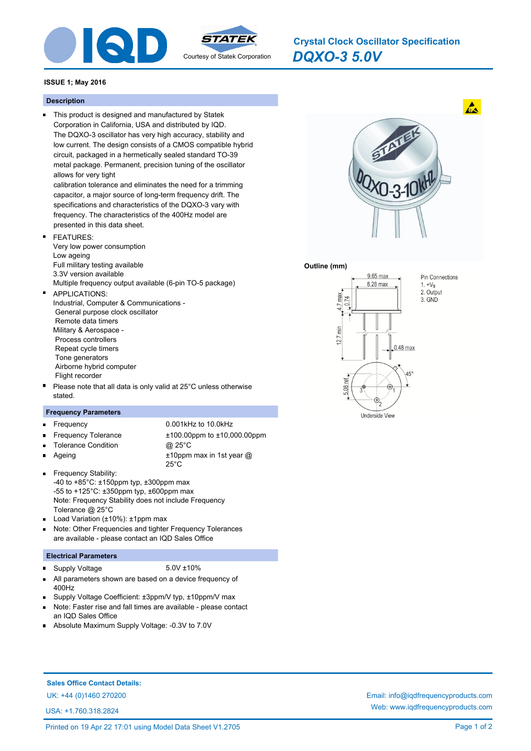

*DQXO-3 5.0V* **Crystal Clock Oscillator Specification**

# **ISSUE 1; May 2016**

#### **Description**

This product is designed and manufactured by Statek Corporation in California, USA and distributed by IQD. The DQXO-3 oscillator has very high accuracy, stability and low current. The design consists of a CMOS compatible hybrid circuit, packaged in a hermetically sealed standard TO-39 metal package. Permanent, precision tuning of the oscillator allows for very tight

calibration tolerance and eliminates the need for a trimming capacitor, a major source of long-term frequency drift. The specifications and characteristics of the DQXO-3 vary with frequency. The characteristics of the 400Hz model are presented in this data sheet.

## FEATURES:

 $\blacksquare$ 

- Very low power consumption Low ageing Full military testing available 3.3V version available Multiple frequency output available (6-pin TO-5 package) APPLICATIONS:
- Industrial, Computer & Communications General purpose clock oscillator Remote data timers Military & Aerospace - Process controllers Repeat cycle timers Tone generators Airborne hybrid computer Flight recorder

Ė Please note that all data is only valid at 25°C unless otherwise stated.

# **Frequency Parameters**

 $\blacksquare$ 

Ageing

ř.

Frequency 0.001kHz to 10.0kHz Frequency Tolerance ±100.00ppm to ±10,000.00ppm Tolerance Condition @ 25°C ±10ppm max in 1st year @ 25°C

- Frequency Stability:  $\blacksquare$ -40 to +85°C: ±150ppm typ, ±300ppm max -55 to +125°C: ±350ppm typ, ±600ppm max Note: Frequency Stability does not include Frequency Tolerance @ 25°C Load Variation (±10%): ±1ppm max  $\blacksquare$
- Note: Other Frequencies and tighter Frequency Tolerances  $\blacksquare$
- are available please contact an IQD Sales Office

# **Electrical Parameters**

- Supply Voltage 5.0V ±10% m.
- 
- All parameters shown are based on a device frequency of 400Hz
- Supply Voltage Coefficient: ±3ppm/V typ, ±10ppm/V max
- Note: Faster rise and fall times are available please contact an IQD Sales Office
- Absolute Maximum Supply Voltage: -0.3V to 7.0V



### **Outline (mm)**



**Sales Office Contact Details:**

USA: +1.760.318.2824

UK: +44 (0)1460 270200 Email: info@iqdfrequencyproducts.com Web: www.iqdfrequencyproducts.com